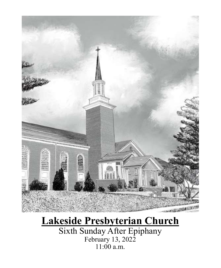

# **Lakeside Presbyterian Church**

Sixth Sunday After Epiphany February 13, 2022 11:00 a.m.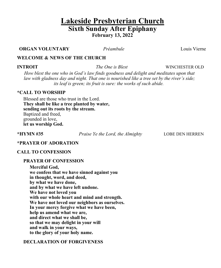## **Lakeside Presbyterian Church Sixth Sunday After Epiphany February 13, 2022**

**ORGAN VOLUNTARY** *Préambule* Louis Vierne

#### **WELCOME & NEWS OF THE CHURCH**

**INTROIT** *The One is Blest* **WINCHESTER OLD** 

*How blest the one who in God's law finds goodness and delight and meditates upon that law with gladness day and night. That one is nourished like a tree set by the river's side; its leaf is green; its fruit is sure: the works of such abide.*

#### **\*CALL TO WORSHIP**

Blessed are those who trust in the Lord. **They shall be like a tree planted by water, sending out its roots by the stream.** Baptized and freed, grounded in love, **let us worship God.**

**\*HYMN #35** *Praise Ye the Lord, the Almighty* LOBE DEN HERREN

#### **\*PRAYER OF ADORATION**

#### **CALL TO CONFESSION**

#### **PRAYER OF CONFESSION**

**Merciful God, we confess that we have sinned against you in thought, word, and deed, by what we have done, and by what we have left undone. We have not loved you with our whole heart and mind and strength. We have not loved our neighbors as ourselves. In your mercy forgive what we have been, help us amend what we are, and direct what we shall be, so that we may delight in your will and walk in your ways, to the glory of your holy name.**

#### **DECLARATION OF FORGIVENESS**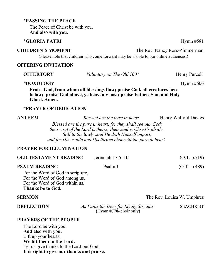#### **\*PASSING THE PEACE**

The Peace of Christ be with you. **And also with you.**

#### **\*GLORIA PATRI** Hymn #581

#### **CHILDREN'S MOMENT** The Rev. Nancy Ross-Zimmerman

(Please note that children who come forward may be visible to our online audiences.)

#### **OFFERING INVITATION**

| <b>OFFERTORY</b> | Voluntary on The Old $100th$                                                                                                                        | Henry Purcell |
|------------------|-----------------------------------------------------------------------------------------------------------------------------------------------------|---------------|
| *DOXOLOGY        |                                                                                                                                                     | Hymn $\#606$  |
| Ghost. Amen.     | Praise God, from whom all blessings flow; praise God, all creatures here<br>below; praise God above, ye heavenly host; praise Father, Son, and Holy |               |

#### **\*PRAYER OF DEDICATION**

**ANTHEM** *Blessed are the pure in heart* Henry Walford Davies

*Blessed are the pure in heart, for they shall see our God; the secret of the Lord is theirs; their soul is Christ's abode. Still to the lowly soul He doth Himself impart; and for His cradle and His throne chooseth the pure in heart.*

#### **PRAYER FOR ILLUMINATION**

| <b>OLD TESTAMENT READING</b>                                       | Jeremiah $17:5-10$ | (O.T. p.719) |
|--------------------------------------------------------------------|--------------------|--------------|
| <b>PSALM READING</b><br>Psalm 1                                    |                    | (O.T. p.489) |
| For the Word of God in scripture,<br>For the Word of God among us, |                    |              |
| For the Word of God within us.                                     |                    |              |

**Thanks be to God.**

#### **SERMON** The Rev. Louisa W. Umphres

**REFLECTION** *As Pants the Deer for Living Streams* SEACHRIST (Hymn #778- choir only)

#### **PRAYERS OF THE PEOPLE**

The Lord be with you. **And also with you.** Lift up your hearts. **We lift them to the Lord.** Let us give thanks to the Lord our God. **It is right to give our thanks and praise.**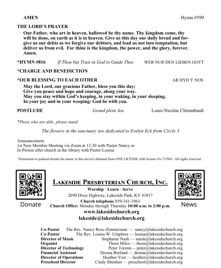#### **AMEN** Hymn #599

#### **THE LORD'S PRAYER**

**Our Father, who art in heaven, hallowed be thy name. Thy kingdom come, thy will be done, on earth as it is in heaven. Give us this day our daily bread and forgive us our debts as we forgive our debtors, and lead us not into temptation, but deliver us from evil. For thine is the kingdom, the power, and the glory, forever. Amen.**

**\*HYMN #816** *If Thou but Trust in God to Guide Thee* WER NUR DEN LIEBEN GOTT

### **\*CHARGE AND BENEDICTION**

#### \*OUR BLESSING TO EACH OTHER ARE ARE ARRESTED FOR A REAL ARREST ARR AND Y NOS

**May the Lord, our gracious Father, bless you this day; Give you peace and hope and courage, along your way. May you stay within God's keeping, in your waking, in your sleeping. In your joy and in your weeping: God be with you.**

**POSTLUDE** *Grand plein Jeu* Louis-Nicolas Clérambault

*\*Those who are able, please stand*

*The flowers in the sanctuary are dedicated to Evelyn Eck from Circle 3*

Announcement: 1st New Member Meeting via Zoom at 12:30 with Pastor Nancy or In-Person after church in the library with Pastor Louisa

Permission to podcast/stream the music in this service obtained from ONE LICENSE with license #A-715941. All rights reserved.



Donate

| <b>LAKESIDE PRESBYTERIAN CHURCH, INC.</b> |  |
|-------------------------------------------|--|
|                                           |  |

**Worship · Learn · Serve** 2690 Dixie Highway, Lakeside Park, KY 41017 **Church telephone** 859-341-1963 **Church Office:** Monday through Thursday **10:00 a.m. to 2:00 p.m.**



News

### **www.lakesidechurch.org lakeside@lakesidechurch.org**

**Co-Pastor** The Rev. Nancy Ross-Zimmerman — nancy@lakesidechurch.org **Co-Pastor** The Rev. Louisa W. Umphres — louisa@lakesidechurch.org **Director of Music** Stephanie Nash — snash@lakesidechurch.org **Organist** Thom Miles — thom all the intervalse of the Thom Miles — thom all the intervalse of the intervalse of the intervalse of the intervalse of the intervalse of the intervalse of the intervalse of the intervalse of t **Director of Technology** Peter Teremi— peter@lakesidechurch.org **Financial Assistant** Desma Borland — desma@lakesidechurch.org **Director of Operations** Heather Vest — heather@lakesidechurch.org **Preschool Director** Cindy Sheehan — preschool@lakesidechurch.org

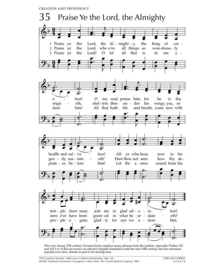**CREATION AND PROVIDENCE** 



This very strong 17th-century German hymn employs many phrases from the psalms, especially Psalms 150 and 103:1-6. It did not receive an effective English translation until the mid-19th century, but has remained popular ever since, thanks in part to its stirring tune.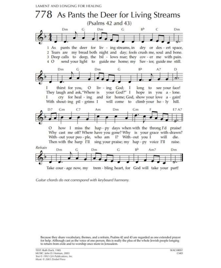LAMENT AND LONGING FOR HEALING



Guitar chords do not correspond with keyboard harmony.

Because they share vocabulary, themes, and a refrain, Psalms 42 and 43 are regarded as one extended prayer for help. Although cast as the voice of one person, this is really the plea of the whole Jewish people longing to return from exile and to worship once more in Jerusalem.